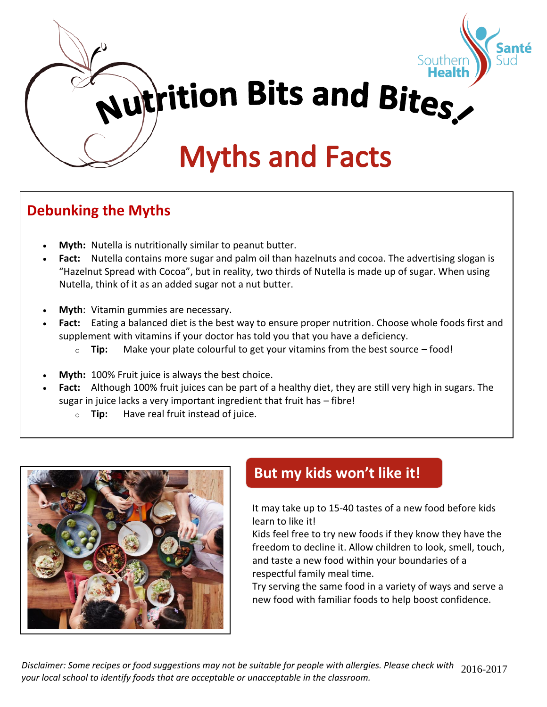

# **Debunking the Myths**

- **Myth:** Nutella is nutritionally similar to peanut butter.
- **Fact:** Nutella contains more sugar and palm oil than hazelnuts and cocoa. The advertising slogan is "Hazelnut Spread with Cocoa", but in reality, two thirds of Nutella is made up of sugar. When using Nutella, think of it as an added sugar not a nut butter.
- **Myth**: Vitamin gummies are necessary.
- **Fact:** Eating a balanced diet is the best way to ensure proper nutrition. Choose whole foods first and supplement with vitamins if your doctor has told you that you have a deficiency.
	- o **Tip:** Make your plate colourful to get your vitamins from the best source food!
- **Myth:** 100% Fruit juice is always the best choice.
- **Fact:** Although 100% fruit juices can be part of a healthy diet, they are still very high in sugars. The sugar in juice lacks a very important ingredient that fruit has – fibre!
	- o **Tip:** Have real fruit instead of juice.



# **But my kids won't like it!**

It may take up to 15-40 tastes of a new food before kids learn to like it!

Kids feel free to try new foods if they know they have the freedom to decline it. Allow children to look, smell, touch, and taste a new food within your boundaries of a respectful family meal time.

Try serving the same food in a variety of ways and serve a new food with familiar foods to help boost confidence.